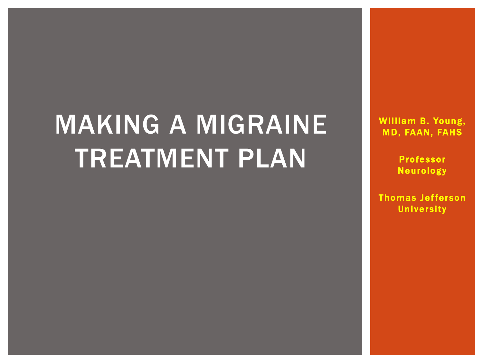# MAKING A MIGRAINE TREATMENT PLAN

William B. Young, MD, FAAN, FAHS

> Professor Neurology

Thomas Jefferson **University**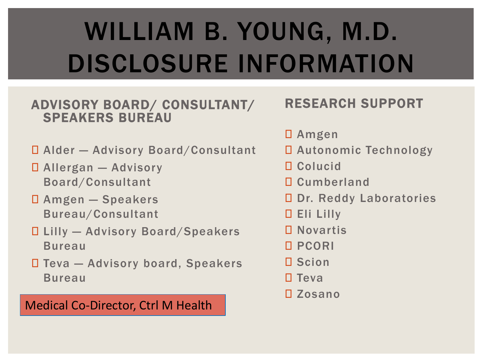# WILLIAM B. YOUNG, M.D. DISCLOSURE INFORMATION

#### ADVISORY BOARD/ CONSULTANT/ SPEAKERS BUREAU

- Alder Advisory Board/Consultant
- Allergan Advisory Board/Consultant
- Amgen Speakers Bureau/Consultant
- Lilly Advisory Board/Speakers Bureau
- Teva Advisory board, Speakers Bureau

#### Medical Co-Director, Ctrl M Health

#### RESEARCH SUPPORT

- Amgen
- Autonomic Technology
- Colucid
- **Q** Cumberland
- D Dr. Reddy Laboratories
- Eli Lilly
- Novartis
- PCORI
- D Scion
- $\square$  Teva
- Zosano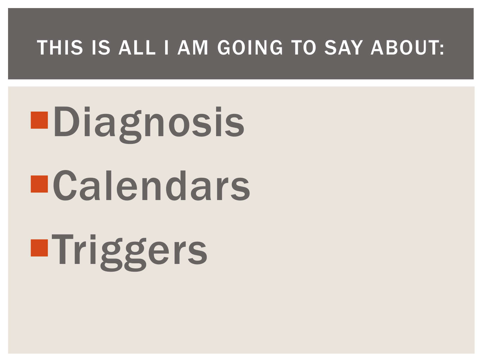### THIS IS ALL I AM GOING TO SAY ABOUT:

# Diagnosis Calendars **■Triggers**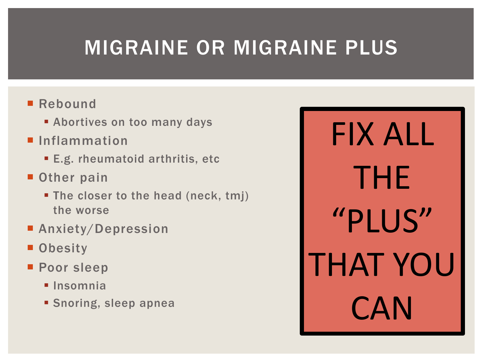# MIGRAINE OR MIGRAINE PLUS

#### ■ Rebound

- **Example 2 Fig. 2 Fig. 2 Fig. 2 Fig. 2 Fig. 2 Fig. 2 Fig. 2 Fig. 2 Fig. 2 Fig. 2 Fig. 2 Fig. 2 Fig. 2 Fig. 2 Fig. 2 Fig. 2 Fig. 2 Fig. 2 Fig. 2 Fig. 2 Fig. 2 Fig. 2 Fig. 2 Fig. 2 Fig. 2 Fig. 2 Fig. 2 Fig. 2 Fig. 2 Fig. 2 F**
- Inflammation
	- **E.g. rheumatoid arthritis, etc.**
- **Other pain** 
	- The closer to the head (neck, tmj) the worse
- **Anxiety/Depression**
- **Obesity**
- **Poor sleep** 
	- **Insomnia**
	- **Snoring, sleep apnea**

FIX ALL THE "PLUS" THAT YOU **CAN**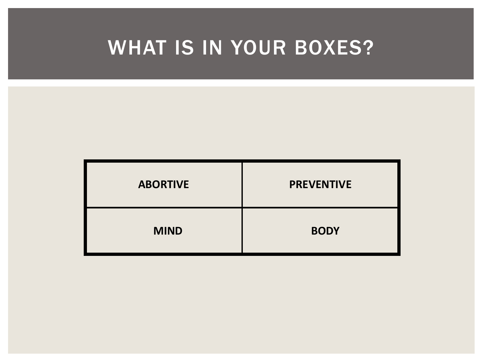# WHAT IS IN YOUR BOXES?

| <b>ABORTIVE</b> | <b>PREVENTIVE</b> |  |
|-----------------|-------------------|--|
| <b>MIND</b>     | <b>BODY</b>       |  |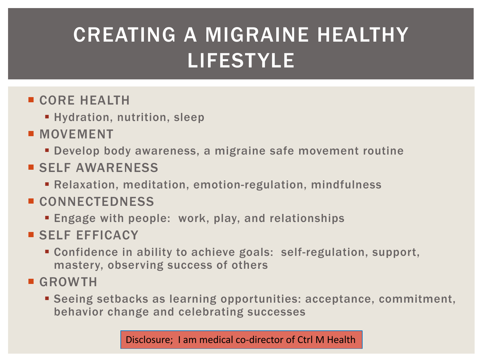# CREATING A MIGRAINE HEALTHY LIFESTYLE

#### **CORE HEALTH**

- **Hydration, nutrition, sleep**
- **MOVEMENT** 
	- Develop body awareness, a migraine safe movement routine
- **SELF AWARENESS** 
	- Relaxation, meditation, emotion-regulation, mindfulness

#### CONNECTEDNESS

- Engage with people: work, play, and relationships
- SELF EFFICACY
	- Confidence in ability to achieve goals: self-regulation, support, mastery, observing success of others
- **GROWTH** 
	- Seeing setbacks as learning opportunities: acceptance, commitment, behavior change and celebrating successes

Disclosure; I am medical co-director of Ctrl M Health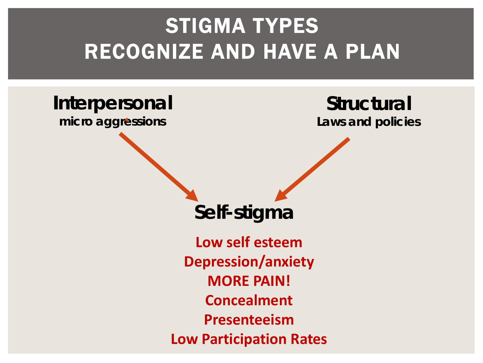# STIGMA TYPES RECOGNIZE AND HAVE A PLAN

# **Interpersonal**

**micro aggressions**

**Structural Laws and policies**

**Self-stigma**

**Low self esteem Depression/anxiety MORE PAIN! Concealment Presenteeism Low Participation Rates**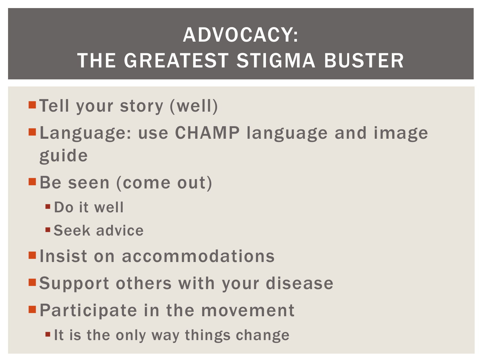# ADVOCACY: THE GREATEST STIGMA BUSTER

- ■Tell your story (well)
- **ELanguage: use CHAMP language and image** guide
- Be seen (come out)
	- Do it well
	- **Seek advice**
- **E** Insist on accommodations
- ■Support others with your disease
- **Participate in the movement** 
	- It is the only way things change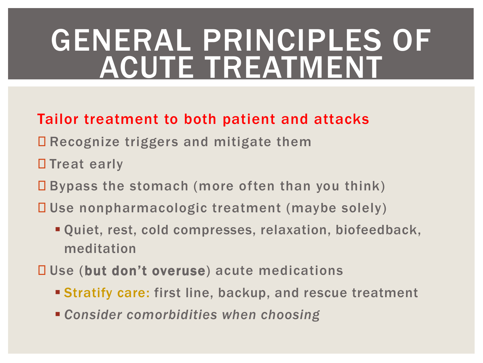# GENERAL PRINCIPLES OF ACUTE TREATMENT

#### Tailor treatment to both patient and attacks

- **□ Recognize triggers and mitigate them**
- □ Treat early
- $\square$  Bypass the stomach (more often than you think)
- Use nonpharmacologic treatment (maybe solely)
	- Quiet, rest, cold compresses, relaxation, biofeedback, meditation
- □ Use (but don't overuse) acute medications
	- Stratify care: first line, backup, and rescue treatment
	- *Consider comorbidities when choosing*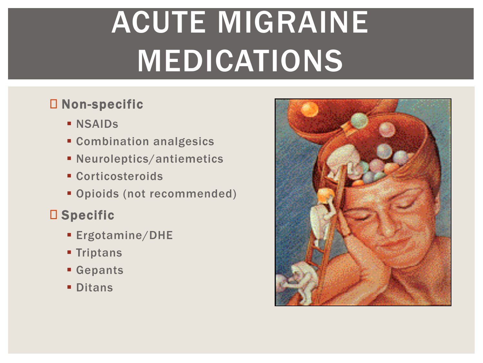# ACUTE MIGRAINE MEDICATIONS

#### Non-specific

- **NSAIDS**
- Combination analgesics
- Neuroleptics/antiemetics
- Corticosteroids
- Opioids (not recommended)

#### □ Specific

- Ergotamine/DHE
- **Triptans**
- Gepants
- **Ditans**

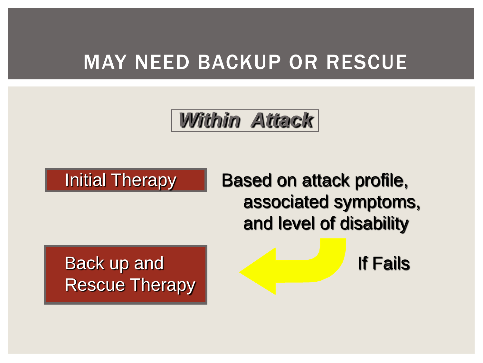### MAY NEED BACKUP OR RESCUE

*Within Attack*



Initial Therapy | Based on attack profile, associated symptoms, and level of disability

Back up and If Fails Rescue Therapy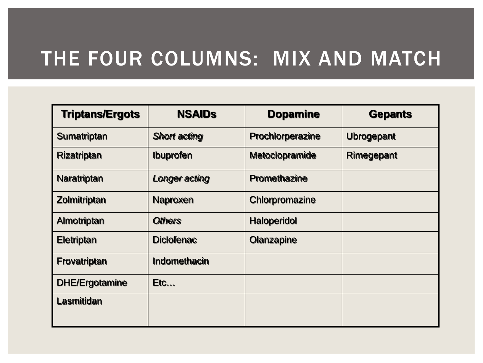### THE FOUR COLUMNS: MIX AND MATCH

| <b>Triptans/Ergots</b> | <b>NSAIDs</b>        | <b>Dopamine</b>     | <b>Gepants</b>    |
|------------------------|----------------------|---------------------|-------------------|
| Sumatriptan            | <b>Short acting</b>  | Prochlorperazine    | <b>Ubrogepant</b> |
| <b>Rizatriptan</b>     | <b>Ibuprofen</b>     | Metoclopramide      | Rimegepant        |
| Naratriptan            | <b>Longer acting</b> | <b>Promethazine</b> |                   |
| Zolmitriptan           | Naproxen             | Chlorpromazine      |                   |
| Almotriptan            | <b>Others</b>        | <b>Haloperidol</b>  |                   |
| <b>Eletriptan</b>      | <b>Diclofenac</b>    | Olanzapine          |                   |
| Frovatriptan           | Indomethacin         |                     |                   |
| <b>DHE/Ergotamine</b>  | Etc                  |                     |                   |
| <b>Lasmitidan</b>      |                      |                     |                   |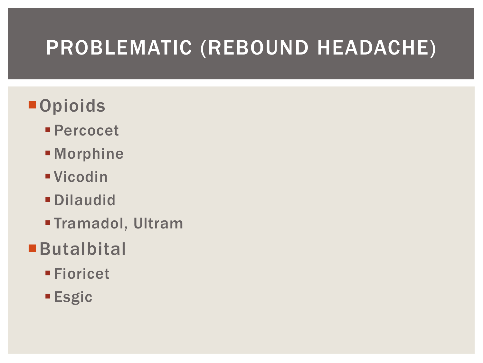# PROBLEMATIC (REBOUND HEADACHE)

- **Opioids** 
	- Percocet
	- **Morphine**
	- Vicodin
	- Dilaudid
	- Tramadol, Ultram
- **Butalbital** 
	- Fioricet
	- **Esgic**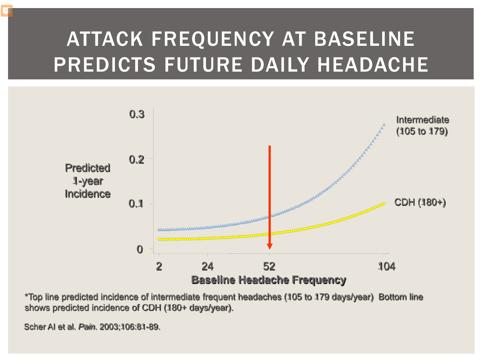# ATTACK FREQUENCY AT BASELINE PREDICTS FUTURE DAILY HEADACHE



\*Top line predicted incidence of intermediate frequent headaches (105 to 179 days/year) Bottom line shows predicted incidence of CDH (180+ days/year).

Scher AI et al. *Pain*. 2003;106:81-89.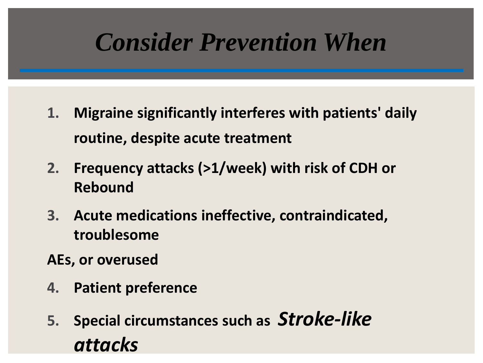# *Consider Prevention When*

- **1. Migraine significantly interferes with patients' daily routine, despite acute treatment**
- **2. Frequency attacks (>1/week) with risk of CDH or Rebound**
- **3. Acute medications ineffective, contraindicated, troublesome**
- **AEs, or overused**
- **4. Patient preference**
- **5. Special circumstances such as** *Stroke-like attacks*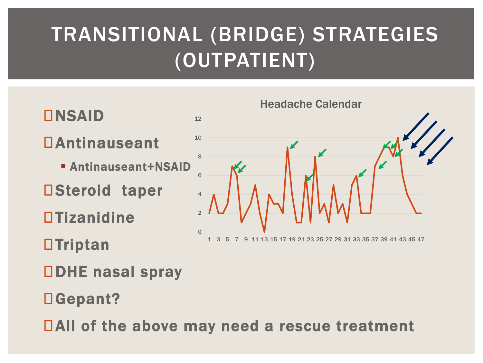# TRANSITIONAL (BRIDGE) STRATEGIES (OUTPATIENT)



Gepant?

All of the above may need a rescue treatment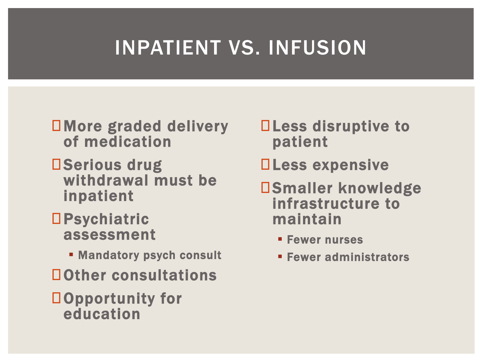# INPATIENT VS. INFUSION

#### More graded delivery of medication

- DSerious drug withdrawal must be inpatient
- **OPsychiatric** assessment
	- **EXAMPLE Mandatory psych consult**
- Other consultations
- Opportunity for education
- **QLess disruptive to** patient
- **Less expensive**
- Smaller knowledge infrastructure to maintain
	- **Fewer nurses**
	- **Fewer administrators**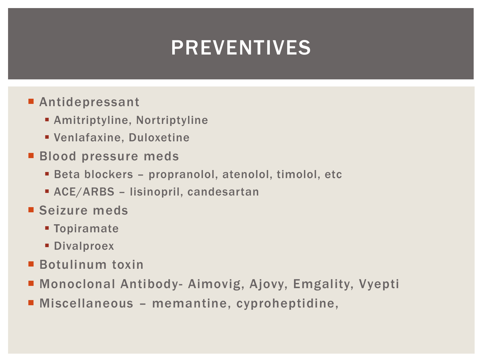# PREVENTIVES

#### ■ Antidepressant

- Amitriptyline, Nortriptyline
- Venlafaxine, Duloxetine
- **Blood pressure meds** 
	- Beta blockers propranolol, atenolol, timolol, etc
	- ACE/ARBS lisinopril, candesartan
- Seizure meds
	- **Topiramate**
	- **Divalproex**
- Botulinum toxin
- Monoclonal Antibody- Aimovig, Ajovy, Emgality, Vyepti
- Miscellaneous memantine, cyproheptidine,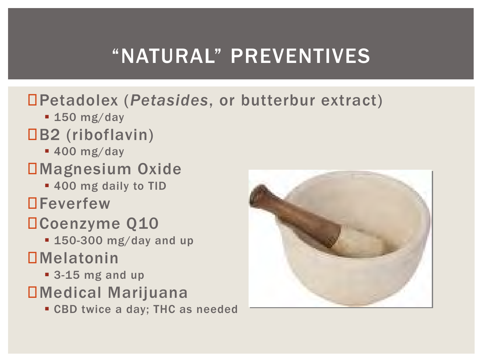# "NATURAL" PREVENTIVES

#### Petadolex (*Petasides*, or butterbur extract)

- **150 mg/day**
- B2 (riboflavin)
	- **400 mg/day**

#### Magnesium Oxide

- 400 mg daily to TID
- **DFeverfew**

### Coenzyme Q10

- **150-300 mg/day and up DMelatonin** 
	- 3-15 mg and up
- Medical Marijuana
	- **CBD twice a day; THC as needed**

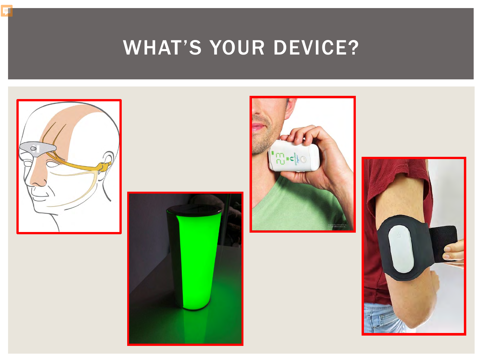WHAT'S YOUR DEVICE?